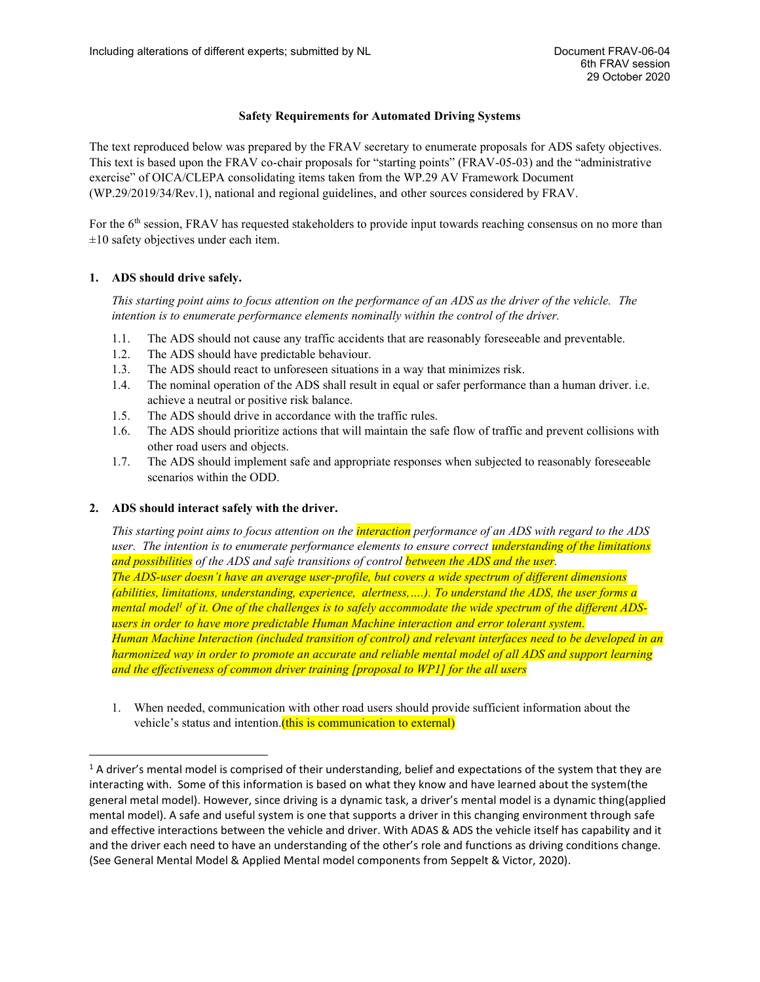# **Safety Requirements for Automated Driving Systems**

The text reproduced below was prepared by the FRAV secretary to enumerate proposals for ADS safety objectives. This text is based upon the FRAV co-chair proposals for "starting points" (FRAV-05-03) and the "administrative exercise" of OICA/CLEPA consolidating items taken from the WP.29 AV Framework Document (WP.29/2019/34/Rev.1), national and regional guidelines, and other sources considered by FRAV.

For the 6<sup>th</sup> session, FRAV has requested stakeholders to provide input towards reaching consensus on no more than  $\pm 10$  safety objectives under each item.

## **1. ADS should drive safely.**

*This starting point aims to focus attention on the performance of an ADS as the driver of the vehicle. The intention is to enumerate performance elements nominally within the control of the driver.*

- 1.1. The ADS should not cause any traffic accidents that are reasonably foreseeable and preventable.
- 1.2. The ADS should have predictable behaviour.
- 1.3. The ADS should react to unforeseen situations in a way that minimizes risk.
- 1.4. The nominal operation of the ADS shall result in equal or safer performance than a human driver. i.e. achieve a neutral or positive risk balance.
- 1.5. The ADS should drive in accordance with the traffic rules.
- 1.6. The ADS should prioritize actions that will maintain the safe flow of traffic and prevent collisions with other road users and objects.
- 1.7. The ADS should implement safe and appropriate responses when subjected to reasonably foreseeable scenarios within the ODD.

### **2. ADS should interact safely with the driver.**

*This starting point aims to focus attention on the interaction performance of an ADS with regard to the ADS user. The intention is to enumerate performance elements to ensure correct understanding of the limitations and possibilities of the ADS and safe transitions of control between the ADS and the user. The ADS-user doesn't have an average user-profile, but covers a wide spectrum of different dimensions (abilities, limitations, understanding, experience, alertness,….). To understand the ADS, the user forms a mental model<sup>1</sup> of it. One of the challenges is to safely accommodate the wide spectrum of the different ADSusers in order to have more predictable Human Machine interaction and error tolerant system. Human Machine Interaction (included transition of control) and relevant interfaces need to be developed in an harmonized way in order to promote an accurate and reliable mental model of all ADS and support learning and the effectiveness of common driver training [proposal to WP1] for the all users* 

1. When needed, communication with other road users should provide sufficient information about the vehicle's status and intention. (this is communication to external)

 $1$  A driver's mental model is comprised of their understanding, belief and expectations of the system that they are interacting with. Some of this information is based on what they know and have learned about the system(the general metal model). However, since driving is a dynamic task, a driver's mental model is a dynamic thing(applied mental model). A safe and useful system is one that supports a driver in this changing environment through safe and effective interactions between the vehicle and driver. With ADAS & ADS the vehicle itself has capability and it and the driver each need to have an understanding of the other's role and functions as driving conditions change. (See General Mental Model & Applied Mental model components from Seppelt & Victor, 2020).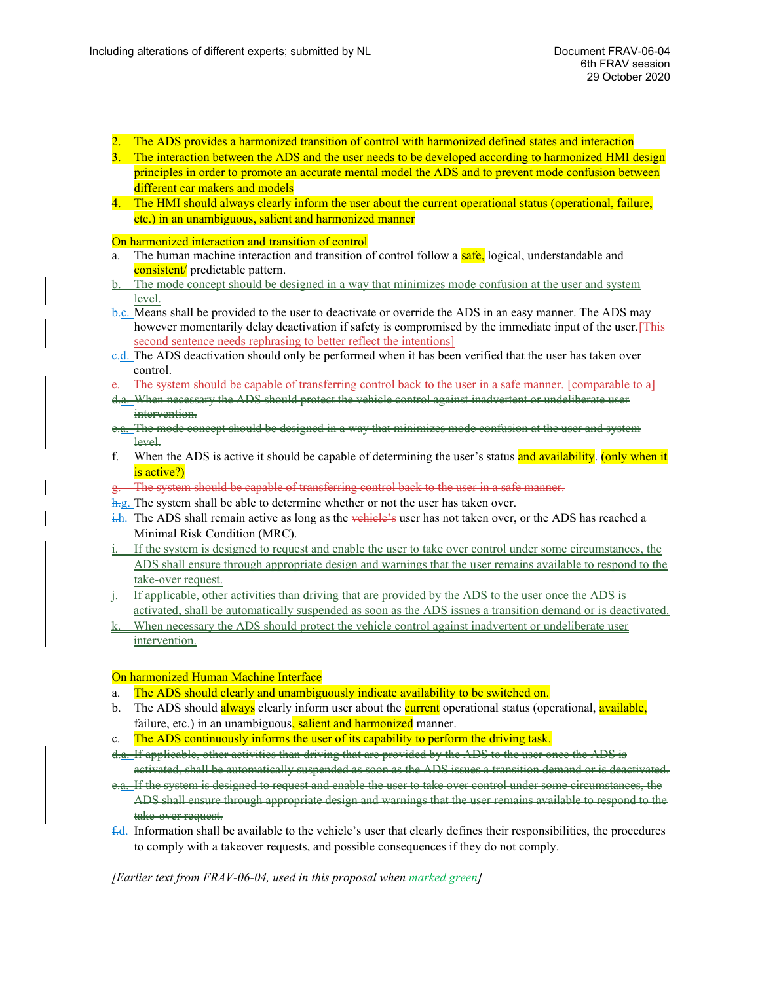- 2. The ADS provides a harmonized transition of control with harmonized defined states and interaction
- 3. The interaction between the ADS and the user needs to be developed according to harmonized HMI design principles in order to promote an accurate mental model the ADS and to prevent mode confusion between different car makers and models
- 4. The HMI should always clearly inform the user about the current operational status (operational, failure, etc.) in an unambiguous, salient and harmonized manner

On harmonized interaction and transition of control

- a. The human machine interaction and transition of control follow a safe, logical, understandable and consistent/ predictable pattern.
- b. The mode concept should be designed in a way that minimizes mode confusion at the user and system level.
- b.c. Means shall be provided to the user to deactivate or override the ADS in an easy manner. The ADS may however momentarily delay deactivation if safety is compromised by the immediate input of the user.[This second sentence needs rephrasing to better reflect the intentions]
- c.d. The ADS deactivation should only be performed when it has been verified that the user has taken over control.
- The system should be capable of transferring control back to the user in a safe manner. [comparable to a]
- d.a. When necessary the ADS should protect the vehicle control against inadvertent or undeliberate user intervention.
- The mode concept should be designed in a way that minimizes mode confusion at the user and system level.
- f. When the ADS is active it should be capable of determining the user's status and availability. (only when it is active?)
- g. The system should be capable of transferring control back to the user in a safe manner.
- $\frac{h}{g}$ . The system shall be able to determine whether or not the user has taken over.
- $\frac{1}{k}$ . The ADS shall remain active as long as the vehicle's user has not taken over, or the ADS has reached a Minimal Risk Condition (MRC).
- If the system is designed to request and enable the user to take over control under some circumstances, the ADS shall ensure through appropriate design and warnings that the user remains available to respond to the take-over request.
- j. If applicable, other activities than driving that are provided by the ADS to the user once the ADS is activated, shall be automatically suspended as soon as the ADS issues a transition demand or is deactivated.
- When necessary the ADS should protect the vehicle control against inadvertent or undeliberate user intervention.

## On harmonized Human Machine Interface

- a. The ADS should clearly and unambiguously indicate availability to be switched on.
- b. The ADS should always clearly inform user about the **current** operational status (operational, available, failure, etc.) in an unambiguous, salient and harmonized manner.
- c. The ADS continuously informs the user of its capability to perform the driving task.
- d.a. If applicable, other activities than driving that are provided by the ADS to the user once the ADS is activated, shall be automatically suspended as soon as the ADS issues a transition demand or is deactivated.
- e.a. If the system is designed to request and enable the user to take over control under some circumstances, the ADS shall ensure through appropriate design and warnings that the user remains available to respond to the take over request.
- $\pm d$ . Information shall be available to the vehicle's user that clearly defines their responsibilities, the procedures to comply with a takeover requests, and possible consequences if they do not comply.

*[Earlier text from FRAV-06-04, used in this proposal when marked green]*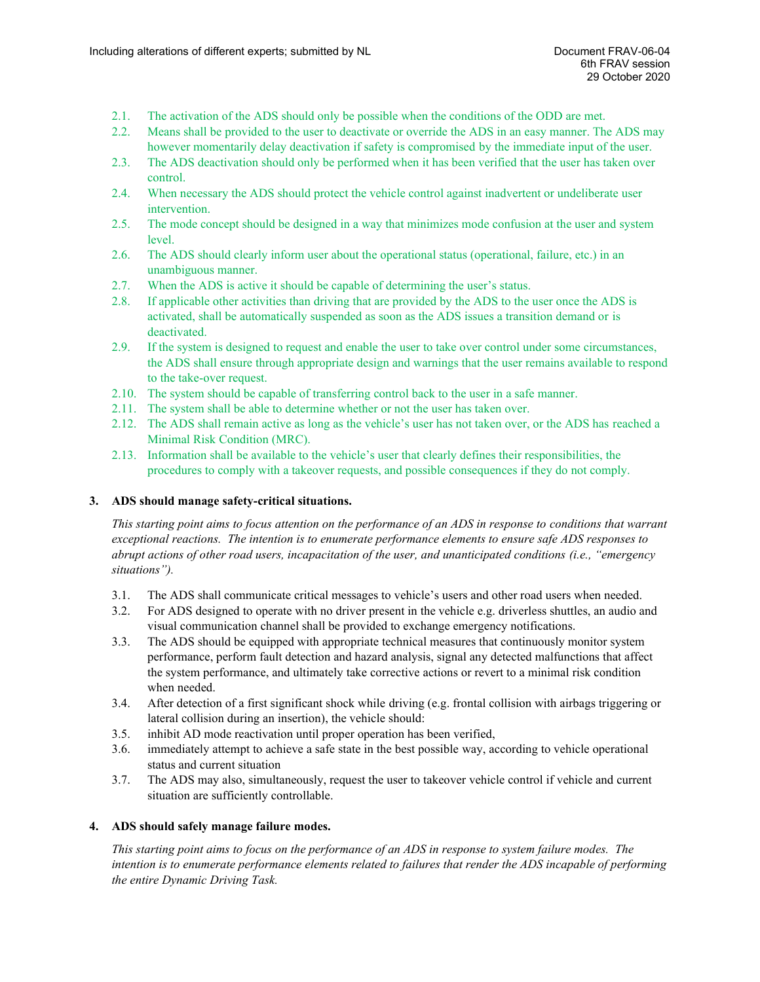- 2.1. The activation of the ADS should only be possible when the conditions of the ODD are met.
- 2.2. Means shall be provided to the user to deactivate or override the ADS in an easy manner. The ADS may however momentarily delay deactivation if safety is compromised by the immediate input of the user.
- 2.3. The ADS deactivation should only be performed when it has been verified that the user has taken over control.
- 2.4. When necessary the ADS should protect the vehicle control against inadvertent or undeliberate user intervention.
- 2.5. The mode concept should be designed in a way that minimizes mode confusion at the user and system level.
- 2.6. The ADS should clearly inform user about the operational status (operational, failure, etc.) in an unambiguous manner.
- 2.7. When the ADS is active it should be capable of determining the user's status.
- 2.8. If applicable other activities than driving that are provided by the ADS to the user once the ADS is activated, shall be automatically suspended as soon as the ADS issues a transition demand or is deactivated.
- 2.9. If the system is designed to request and enable the user to take over control under some circumstances, the ADS shall ensure through appropriate design and warnings that the user remains available to respond to the take-over request.
- 2.10. The system should be capable of transferring control back to the user in a safe manner.
- 2.11. The system shall be able to determine whether or not the user has taken over.
- 2.12. The ADS shall remain active as long as the vehicle's user has not taken over, or the ADS has reached a Minimal Risk Condition (MRC).
- 2.13. Information shall be available to the vehicle's user that clearly defines their responsibilities, the procedures to comply with a takeover requests, and possible consequences if they do not comply.

## **3. ADS should manage safety-critical situations.**

*This starting point aims to focus attention on the performance of an ADS in response to conditions that warrant exceptional reactions. The intention is to enumerate performance elements to ensure safe ADS responses to abrupt actions of other road users, incapacitation of the user, and unanticipated conditions (i.e., "emergency situations").*

- 3.1. The ADS shall communicate critical messages to vehicle's users and other road users when needed.
- 3.2. For ADS designed to operate with no driver present in the vehicle e.g. driverless shuttles, an audio and visual communication channel shall be provided to exchange emergency notifications.
- 3.3. The ADS should be equipped with appropriate technical measures that continuously monitor system performance, perform fault detection and hazard analysis, signal any detected malfunctions that affect the system performance, and ultimately take corrective actions or revert to a minimal risk condition when needed.
- 3.4. After detection of a first significant shock while driving (e.g. frontal collision with airbags triggering or lateral collision during an insertion), the vehicle should:
- 3.5. inhibit AD mode reactivation until proper operation has been verified,
- 3.6. immediately attempt to achieve a safe state in the best possible way, according to vehicle operational status and current situation
- 3.7. The ADS may also, simultaneously, request the user to takeover vehicle control if vehicle and current situation are sufficiently controllable.

## **4. ADS should safely manage failure modes.**

*This starting point aims to focus on the performance of an ADS in response to system failure modes. The intention is to enumerate performance elements related to failures that render the ADS incapable of performing the entire Dynamic Driving Task.*